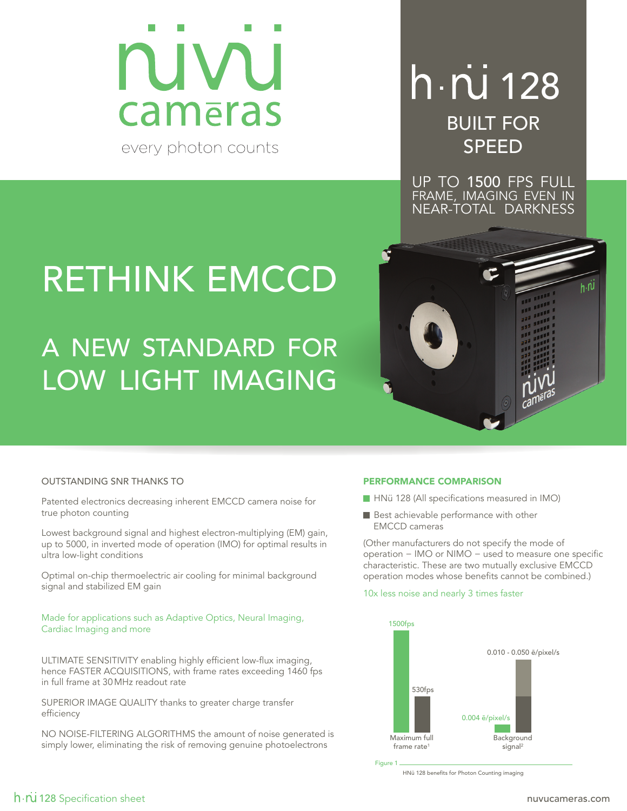

## h · ru 128 BUILT FOR SPEED

UP TO 1500 FPS FULL FRAME, IMAGING EVEN IN NEAR-TOTAL DARKNESS

h.NJ

# RETHINK EMCCD

A NEW STANDARD FOR LOW LIGHT IMAGING

### OUTSTANDING SNR THANKS TO

Patented electronics decreasing inherent EMCCD camera noise for true photon counting

Lowest background signal and highest electron-multiplying (EM) gain, up to 5000, in inverted mode of operation (IMO) for optimal results in ultra low-light conditions

Optimal on-chip thermoelectric air cooling for minimal background signal and stabilized EM gain

#### Made for applications such as Adaptive Optics, Neural Imaging, Cardiac Imaging and more

ULTIMATE SENSITIVITY enabling highly efficient low-flux imaging, hence FASTER ACQUISITIONS, with frame rates exceeding 1460 fps in full frame at 30MHz readout rate

SUPERIOR IMAGE QUALITY thanks to greater charge transfer efficiency

NO NOISE-FILTERING ALGORITHMS the amount of noise generated is simply lower, eliminating the risk of removing genuine photoelectrons

#### PERFORMANCE COMPARISON

- HNü 128 (All specifications measured in IMO)
- Best achievable performance with other EMCCD cameras

(Other manufacturers do not specify the mode of operation − IMO or NIMO − used to measure one specific characteristic. These are two mutually exclusive EMCCD operation modes whose benefits cannot be combined.)

#### 10x less noise and nearly 3 times faster



HNü 128 benefits for Photon Counting imaging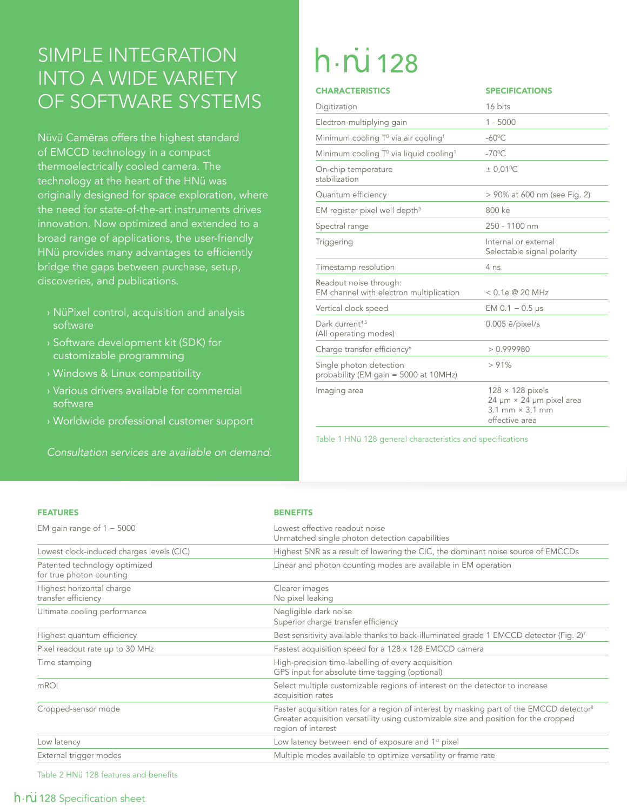### SIMPLE INTEGRATION INTO A WIDE VARIETY OF SOFTWARE SYSTEMS

Nüvü Camēras offers the highest standard of **EMCCD** technology in a compact thermoelectrically cooled camera. The technology at the heart of the HNü was originally designed for space exploration, where the need for state-of-the-art instruments drives innovation. Now optimized and extended to a broad range of applications, the user-friendly HNü provides many advantages to efficiently bridge the gaps between purchase, setup, discoveries, and publications.

- › NüPixel control, acquisition and analysis software
- › Software development kit (SDK) for customizable programming
- › Windows & Linux compatibility
- › Various drivers available for commercial software
- › Worldwide professional customer support

*Consultation services are available on demand.*

# $h \cdot \overline{N}$  128

| <b>CHARACTERISTICS</b>                                            | <b>SPECIFICATIONS</b>                                                                                                        |
|-------------------------------------------------------------------|------------------------------------------------------------------------------------------------------------------------------|
| Digitization                                                      | 16 bits                                                                                                                      |
| Electron-multiplying gain                                         | $1 - 5000$                                                                                                                   |
| Minimum cooling $T^0$ via air cooling <sup>1</sup>                | $-60^{\circ}$ C                                                                                                              |
| Minimum cooling T <sup>o</sup> via liquid cooling <sup>1</sup>    | $-70^{\circ}$ C                                                                                                              |
| On-chip temperature<br>stabilization                              | $± 0.01$ <sup>o</sup> C                                                                                                      |
| Quantum efficiency                                                | > 90% at 600 nm (see Fig. 2)                                                                                                 |
| EM register pixel well depth <sup>3</sup>                         | 800 kē                                                                                                                       |
| Spectral range                                                    | 250 - 1100 nm                                                                                                                |
| Triggering                                                        | Internal or external<br>Selectable signal polarity                                                                           |
| Timestamp resolution                                              | 4 <sub>ns</sub>                                                                                                              |
| Readout noise through:<br>EM channel with electron multiplication | $< 0.1$ ē @ 20 MHz                                                                                                           |
| Vertical clock speed                                              | EM $0.1 - 0.5$ µs                                                                                                            |
| Dark current <sup>4,5</sup><br>(All operating modes)              | $0.005$ $\bar{e}/$ pixel/s                                                                                                   |
| Charge transfer efficiency <sup>6</sup>                           | > 0.999980                                                                                                                   |
| Single photon detection<br>probability (EM gain = 5000 at 10MHz)  | >91%                                                                                                                         |
| Imaging area                                                      | $128 \times 128$ pixels<br>$24 \mu m \times 24 \mu m$ pixel area<br>$3.1 \text{ mm} \times 3.1 \text{ mm}$<br>effective area |

Table 1 HNü 128 general characteristics and specifications

| <b>BENEFITS</b> |
|-----------------|
|                 |

| EM gain range of $1 - 5000$                               | Lowest effective readout noise<br>Unmatched single photon detection capabilities                                                                                                                                   |  |  |
|-----------------------------------------------------------|--------------------------------------------------------------------------------------------------------------------------------------------------------------------------------------------------------------------|--|--|
| Lowest clock-induced charges levels (CIC)                 | Highest SNR as a result of lowering the CIC, the dominant noise source of EMCCDs                                                                                                                                   |  |  |
| Patented technology optimized<br>for true photon counting | Linear and photon counting modes are available in EM operation                                                                                                                                                     |  |  |
| Highest horizontal charge<br>transfer efficiency          | Clearer images<br>No pixel leaking                                                                                                                                                                                 |  |  |
| Ultimate cooling performance                              | Negligible dark noise<br>Superior charge transfer efficiency                                                                                                                                                       |  |  |
| Highest quantum efficiency                                | Best sensitivity available thanks to back-illuminated grade 1 EMCCD detector (Fig. 2) <sup>7</sup>                                                                                                                 |  |  |
| Pixel readout rate up to 30 MHz                           | Fastest acquisition speed for a 128 x 128 EMCCD camera                                                                                                                                                             |  |  |
| Time stamping                                             | High-precision time-labelling of every acquisition<br>GPS input for absolute time tagging (optional)                                                                                                               |  |  |
| mROI                                                      | Select multiple customizable regions of interest on the detector to increase<br>acquisition rates                                                                                                                  |  |  |
| Cropped-sensor mode                                       | Faster acquisition rates for a region of interest by masking part of the EMCCD detector <sup>8</sup><br>Greater acquisition versatility using customizable size and position for the cropped<br>region of interest |  |  |
| Low latency                                               | Low latency between end of exposure and 1 <sup>st</sup> pixel                                                                                                                                                      |  |  |
| External trigger modes                                    | Multiple modes available to optimize versatility or frame rate                                                                                                                                                     |  |  |

Table 2 HNü 128 features and benefits

### 128 Specification sheet nuwurameras.com who was also complete the complete state of  $\sim$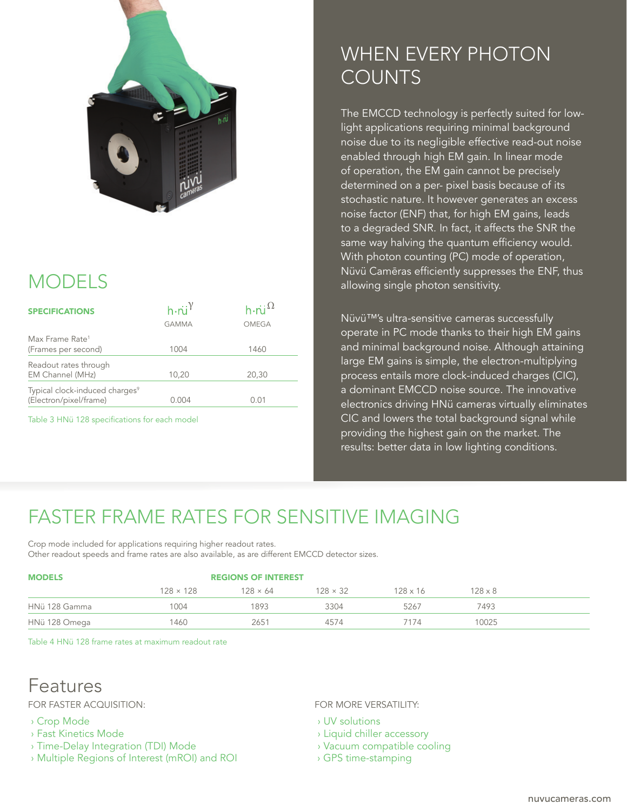

## MODELS

| <b>SPECIFICATIONS</b>                                                | $h \cdot \overline{u}^{\gamma}$<br><b>GAMMA</b> | h $\cdot$ ni $^{\Omega}$<br>OMEGA |
|----------------------------------------------------------------------|-------------------------------------------------|-----------------------------------|
| Max Frame Rate <sup>1</sup><br>(Frames per second)                   | 1004                                            | 1460                              |
| Readout rates through<br>EM Channel (MHz)                            | 10,20                                           | 20,30                             |
| Typical clock-induced charges <sup>9</sup><br>(Electron/pixel/frame) | 0.004                                           | (1.01)                            |
|                                                                      |                                                 |                                   |

Table 3 HNü 128 specifications for each model

### WHEN EVERY PHOTON COUNTS

The EMCCD technology is perfectly suited for lowlight applications requiring minimal background noise due to its negligible effective read-out noise enabled through high EM gain. In linear mode of operation, the EM gain cannot be precisely determined on a per- pixel basis because of its stochastic nature. It however generates an excess noise factor (ENF) that, for high EM gains, leads to a degraded SNR. In fact, it affects the SNR the same way halving the quantum efficiency would. With photon counting (PC) mode of operation, Nüvü Camēras efficiently suppresses the ENF, thus allowing single photon sensitivity.

Nüvü™'s ultra-sensitive cameras successfully operate in PC mode thanks to their high EM gains and minimal background noise. Although attaining large EM gains is simple, the electron-multiplying process entails more clock-induced charges (CIC), a dominant EMCCD noise source. The innovative electronics driving HNü cameras virtually eliminates CIC and lowers the total background signal while providing the highest gain on the market. The results: better data in low lighting conditions.

## FASTER FRAME RATES FOR SENSITIVE IMAGING

Crop mode included for applications requiring higher readout rates. Other readout speeds and frame rates are also available, as are different EMCCD detector sizes.

| <b>MODELS</b> | <b>REGIONS OF INTEREST</b> |                 |                 |                 |                |  |
|---------------|----------------------------|-----------------|-----------------|-----------------|----------------|--|
|               | $128 \times 128$           | $128 \times 64$ | $128 \times 32$ | $128 \times 16$ | $128 \times 8$ |  |
| HNü 128 Gamma | 1004                       | 1893            | 3304            | 5267            | 7493           |  |
| HNü 128 Omega | 1460                       | 2651            | 4574            | . 74            | 10025          |  |

Table 4 HNü 128 frame rates at maximum readout rate

### Features

FOR FASTER ACQUISITION:

- › Crop Mode
- › Fast Kinetics Mode
- › Time-Delay Integration (TDI) Mode
- › Multiple Regions of Interest (mROI) and ROI

FOR MORE VERSATILITY:

- › UV solutions
- › Liquid chiller accessory
- › Vacuum compatible cooling
- › GPS time-stamping